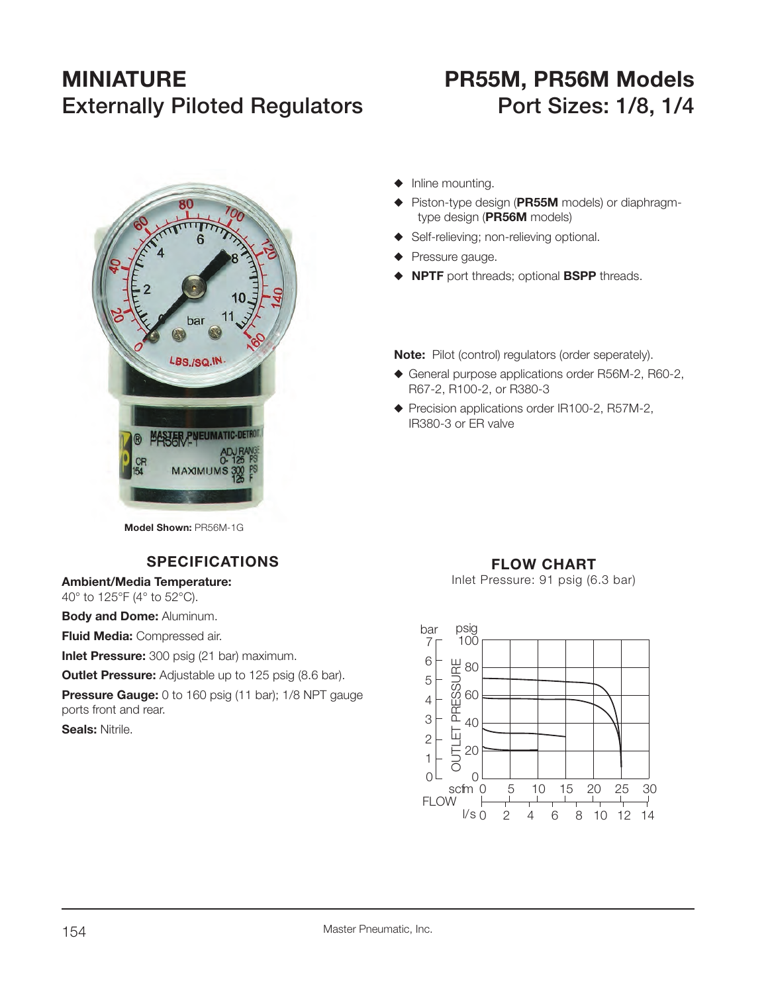# **MINIATURE PR55M, PR56M Models Externally Piloted Regulators Port Sizes: 1/8, 1/4**

- bar LBS./SQ.IN. **MASTER PNEUMATIC-D MAXIMUMS**
- $\blacklozenge$  Inline mounting.
- ◆ Piston-type design (PR55M models) or diaphragmtype design (**PR56M** models)
- ◆ Self-relieving; non-relieving optional.
- $\blacklozenge$  Pressure gauge.
- **NPTF** port threads; optional **BSPP** threads.

**Note:** Pilot (control) regulators (order seperately).

- ◆ General purpose applications order R56M-2, R60-2, R67-2, R100-2, or R380-3
- $\blacklozenge$  Precision applications order IR100-2, R57M-2, IR380-3 or ER valve

**Model Shown:** PR56M-1G

# **SPECIFICATIONS**

**Ambient/Media Temperature:**

40° to 125°F (4° to 52°C).

**Body and Dome:** Aluminum.

**Fluid Media:** Compressed air.

**Inlet Pressure:** 300 psig (21 bar) maximum.

**Outlet Pressure:** Adjustable up to 125 psig (8.6 bar).

**Pressure Gauge:** 0 to 160 psig (11 bar); 1/8 NPT gauge ports front and rear.

**Seals:** Nitrile.

## **FLOW CHART**

Inlet Pressure: 91 psig (6.3 bar)